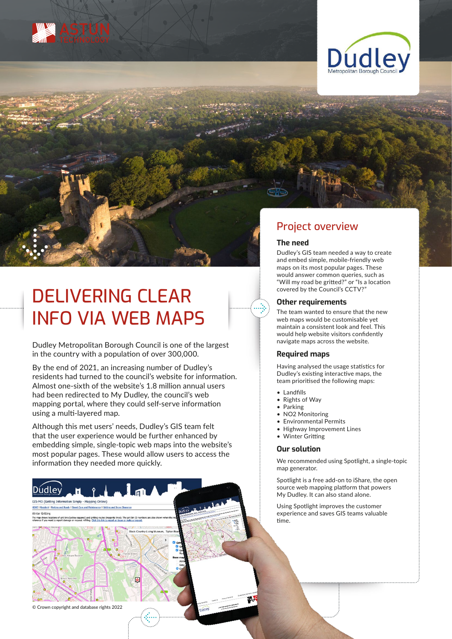





INFO VIA WEB MAPS Dudley Metropolitan Borough Council is one of the largest

in the country with a population of over 300,000.

By the end of 2021, an increasing number of Dudley's residents had turned to the council's website for information. Almost one-sixth of the website's 1.8 million annual users had been redirected to My Dudley, the council's web mapping portal, where they could self-serve information using a multi-layered map.

Although this met users' needs, Dudley's GIS team felt that the user experience would be further enhanced by embedding simple, single-topic web maps into the website's most popular pages. These would allow users to access the information they needed more quickly.

商

## Project overview

#### **The need**

Dudley's GIS team needed a way to create and embed simple, mobile-friendly web maps on its most popular pages. These would answer common queries, such as "Will my road be gritted?" or "Is a location covered by the Council's CCTV?"

### **Other requirements**

The team wanted to ensure that the new web maps would be customisable yet maintain a consistent look and feel. This would help website visitors confidently navigate maps across the website.

#### **Required maps**

Having analysed the usage statistics for Dudley's existing interactive maps, the team prioritised the following maps:

- Landfills
- Rights of Way
- Parking
- NO2 Monitoring
- Environmental Permits
- Highway Improvement Lines
- Winter Gritting

#### **Our solution**

We recommended using Spotlight, a single-topic map generator.

Spotlight is a free add-on to iShare, the open source web mapping platform that powers My Dudley. It can also stand alone.

Using Spotlight improves the customer experience and saves GIS teams valuable time.

© Crown copyright and database rights 2022

Manning Online

Dúdley